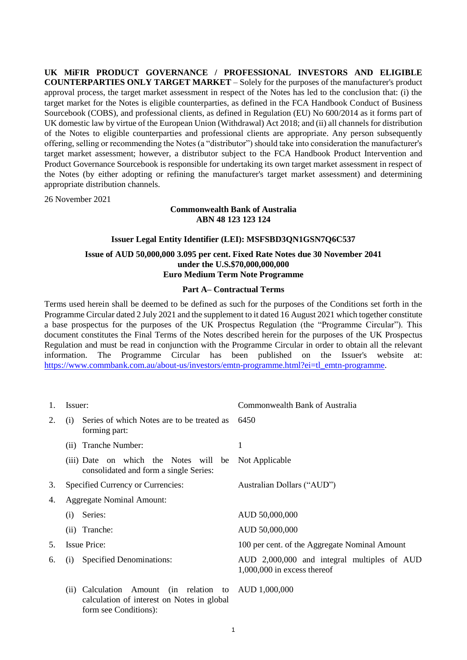**UK MiFIR PRODUCT GOVERNANCE / PROFESSIONAL INVESTORS AND ELIGIBLE COUNTERPARTIES ONLY TARGET MARKET** – Solely for the purposes of the manufacturer's product approval process, the target market assessment in respect of the Notes has led to the conclusion that: (i) the target market for the Notes is eligible counterparties, as defined in the FCA Handbook Conduct of Business Sourcebook (COBS), and professional clients, as defined in Regulation (EU) No 600/2014 as it forms part of UK domestic law by virtue of the European Union (Withdrawal) Act 2018; and (ii) all channels for distribution of the Notes to eligible counterparties and professional clients are appropriate. Any person subsequently offering, selling or recommending the Notes (a "distributor") should take into consideration the manufacturer's target market assessment; however, a distributor subject to the FCA Handbook Product Intervention and Product Governance Sourcebook is responsible for undertaking its own target market assessment in respect of the Notes (by either adopting or refining the manufacturer's target market assessment) and determining appropriate distribution channels.

26 November 2021

## **Commonwealth Bank of Australia ABN 48 123 123 124**

## **Issuer Legal Entity Identifier (LEI): MSFSBD3QN1GSN7Q6C537**

## **Issue of AUD 50,000,000 3.095 per cent. Fixed Rate Notes due 30 November 2041 under the U.S.\$70,000,000,000 Euro Medium Term Note Programme**

## **Part A– Contractual Terms**

Terms used herein shall be deemed to be defined as such for the purposes of the Conditions set forth in the Programme Circular dated 2 July 2021 and the supplement to it dated 16 August 2021 which together constitute a base prospectus for the purposes of the UK Prospectus Regulation (the "Programme Circular"). This document constitutes the Final Terms of the Notes described herein for the purposes of the UK Prospectus Regulation and must be read in conjunction with the Programme Circular in order to obtain all the relevant information. The Programme Circular has been published on the Issuer's website at: [https://www.commbank.com.au/about-us/investors/emtn-programme.html?ei=tl\\_emtn-programme.](https://www.commbank.com.au/about-us/investors/emtn-programme.html?ei=tl_emtn-programme)

| 1. | Issuer:                                                                                                                            | Commonwealth Bank of Australia                                               |
|----|------------------------------------------------------------------------------------------------------------------------------------|------------------------------------------------------------------------------|
| 2. | Series of which Notes are to be treated as<br>(i)<br>forming part:                                                                 | 6450                                                                         |
|    | (ii) Tranche Number:                                                                                                               | 1                                                                            |
|    | (iii) Date on which the Notes will be<br>consolidated and form a single Series:                                                    | Not Applicable                                                               |
| 3. | Specified Currency or Currencies:                                                                                                  | Australian Dollars ("AUD")                                                   |
| 4. | <b>Aggregate Nominal Amount:</b>                                                                                                   |                                                                              |
|    | Series:<br>(i)                                                                                                                     | AUD 50,000,000                                                               |
|    | (ii) Tranche:                                                                                                                      | AUD 50,000,000                                                               |
| 5. | <b>Issue Price:</b>                                                                                                                | 100 per cent. of the Aggregate Nominal Amount                                |
| 6. | <b>Specified Denominations:</b><br>(i)                                                                                             | AUD 2,000,000 and integral multiples of AUD<br>$1,000,000$ in excess thereof |
|    | Calculation<br>Amount (in relation to AUD 1,000,000<br>(11)<br>calculation of interest on Notes in global<br>form see Conditions): |                                                                              |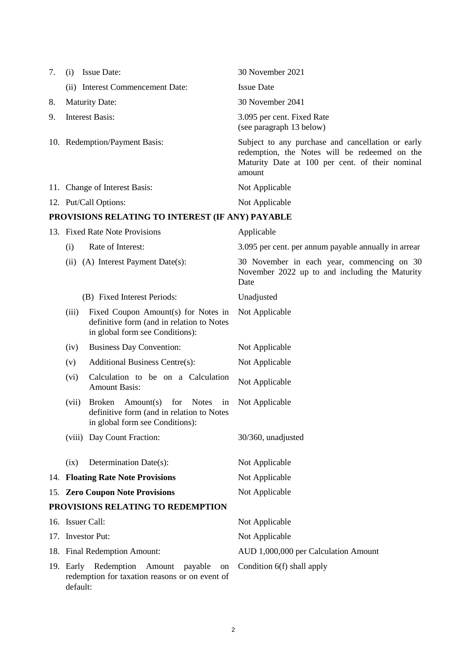<span id="page-1-0"></span>

| 7. | (i)                         | <b>Issue Date:</b>                                                                                                                      | 30 November 2021                                                                                                                                                |
|----|-----------------------------|-----------------------------------------------------------------------------------------------------------------------------------------|-----------------------------------------------------------------------------------------------------------------------------------------------------------------|
|    |                             | (ii) Interest Commencement Date:                                                                                                        | <b>Issue Date</b>                                                                                                                                               |
| 8. |                             | <b>Maturity Date:</b>                                                                                                                   | 30 November 2041                                                                                                                                                |
| 9. |                             | <b>Interest Basis:</b>                                                                                                                  | 3.095 per cent. Fixed Rate<br>(see paragraph 13 below)                                                                                                          |
|    |                             | 10. Redemption/Payment Basis:                                                                                                           | Subject to any purchase and cancellation or early<br>redemption, the Notes will be redeemed on the<br>Maturity Date at 100 per cent. of their nominal<br>amount |
|    |                             | 11. Change of Interest Basis:                                                                                                           | Not Applicable                                                                                                                                                  |
|    |                             | 12. Put/Call Options:                                                                                                                   | Not Applicable                                                                                                                                                  |
|    |                             | PROVISIONS RELATING TO INTEREST (IF ANY) PAYABLE                                                                                        |                                                                                                                                                                 |
|    |                             | 13. Fixed Rate Note Provisions                                                                                                          | Applicable                                                                                                                                                      |
|    | (i)                         | Rate of Interest:                                                                                                                       | 3.095 per cent. per annum payable annually in arrear                                                                                                            |
|    |                             | (ii) (A) Interest Payment Date(s):                                                                                                      | 30 November in each year, commencing on 30<br>November 2022 up to and including the Maturity<br>Date                                                            |
|    | (B) Fixed Interest Periods: |                                                                                                                                         | Unadjusted                                                                                                                                                      |
|    | (iii)                       | Fixed Coupon Amount(s) for Notes in<br>definitive form (and in relation to Notes<br>in global form see Conditions):                     | Not Applicable                                                                                                                                                  |
|    | (iv)                        | <b>Business Day Convention:</b>                                                                                                         | Not Applicable                                                                                                                                                  |
|    | (v)                         | <b>Additional Business Centre(s):</b>                                                                                                   | Not Applicable                                                                                                                                                  |
|    | (vi)                        | Calculation to be on a Calculation<br><b>Amount Basis:</b>                                                                              | Not Applicable                                                                                                                                                  |
|    | (vii)                       | <b>Broken</b><br>Amount(s)<br>for<br><b>Notes</b><br>in<br>definitive form (and in relation to Notes<br>in global form see Conditions): | Not Applicable                                                                                                                                                  |
|    |                             | (viii) Day Count Fraction:                                                                                                              | 30/360, unadjusted                                                                                                                                              |
|    | (ix)                        | Determination Date(s):                                                                                                                  | Not Applicable                                                                                                                                                  |
|    |                             | 14. Floating Rate Note Provisions                                                                                                       | Not Applicable                                                                                                                                                  |
|    |                             | 15. Zero Coupon Note Provisions                                                                                                         | Not Applicable                                                                                                                                                  |
|    |                             | PROVISIONS RELATING TO REDEMPTION                                                                                                       |                                                                                                                                                                 |
|    | 16. Issuer Call:            |                                                                                                                                         | Not Applicable                                                                                                                                                  |
|    | 17. Investor Put:           |                                                                                                                                         | Not Applicable                                                                                                                                                  |
|    |                             | 18. Final Redemption Amount:                                                                                                            | AUD 1,000,000 per Calculation Amount                                                                                                                            |
|    | 19. Early<br>default:       | Redemption<br>Amount<br>payable<br>on<br>redemption for taxation reasons or on event of                                                 | Condition 6(f) shall apply                                                                                                                                      |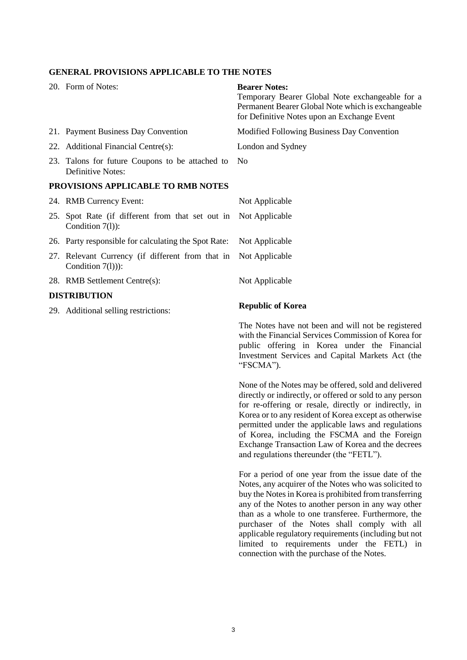### **GENERAL PROVISIONS APPLICABLE TO THE NOTES**

| 20. Form of Notes:                                                      | <b>Bearer Notes:</b><br>Temporary Bearer Global Note exchangeable for a<br>Permanent Bearer Global Note which is exchangeable<br>for Definitive Notes upon an Exchange Event |
|-------------------------------------------------------------------------|------------------------------------------------------------------------------------------------------------------------------------------------------------------------------|
| 21. Payment Business Day Convention                                     | Modified Following Business Day Convention                                                                                                                                   |
| 22. Additional Financial Centre(s):                                     | London and Sydney                                                                                                                                                            |
| 23. Talons for future Coupons to be attached to<br>Definitive Notes:    | N <sub>o</sub>                                                                                                                                                               |
| PROVISIONS APPLICABLE TO RMB NOTES                                      |                                                                                                                                                                              |
| 24. RMB Currency Event:                                                 | Not Applicable                                                                                                                                                               |
| 25. Spot Rate (if different from that set out in<br>Condition 7(1)):    | Not Applicable                                                                                                                                                               |
| 26. Party responsible for calculating the Spot Rate:                    | Not Applicable                                                                                                                                                               |
| 27. Relevant Currency (if different from that in<br>Condition $7(l)$ ): | Not Applicable                                                                                                                                                               |
| 28. RMB Settlement Centre(s):                                           | Not Applicable                                                                                                                                                               |
| <b>DISTRIBUTION</b>                                                     |                                                                                                                                                                              |
| 29. Additional selling restrictions:                                    | <b>Republic of Korea</b>                                                                                                                                                     |
|                                                                         | The Notes have not been and will not be registered                                                                                                                           |

with the Financial Services Commission of Korea for public offering in Korea under the Financial Investment Services and Capital Markets Act (the "FSCMA").

None of the Notes may be offered, sold and delivered directly or indirectly, or offered or sold to any person for re-offering or resale, directly or indirectly, in Korea or to any resident of Korea except as otherwise permitted under the applicable laws and regulations of Korea, including the FSCMA and the Foreign Exchange Transaction Law of Korea and the decrees and regulations thereunder (the "FETL").

For a period of one year from the issue date of the Notes, any acquirer of the Notes who was solicited to buy the Notes in Korea is prohibited from transferring any of the Notes to another person in any way other than as a whole to one transferee. Furthermore, the purchaser of the Notes shall comply with all applicable regulatory requirements (including but not limited to requirements under the FETL) in connection with the purchase of the Notes.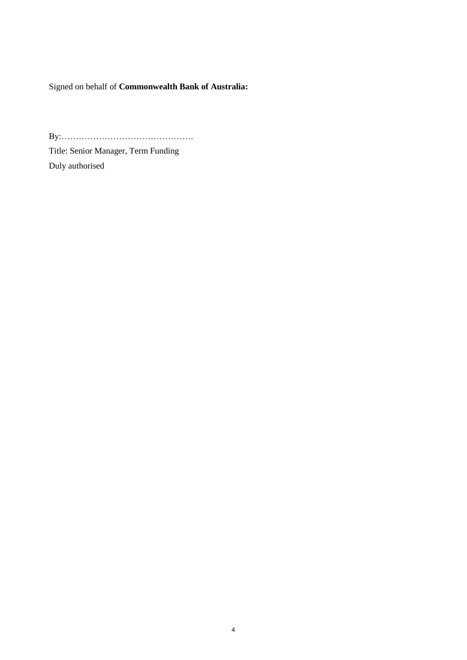Signed on behalf of **Commonwealth Bank of Australia:**

By:……………………………………….

Title: Senior Manager, Term Funding Duly authorised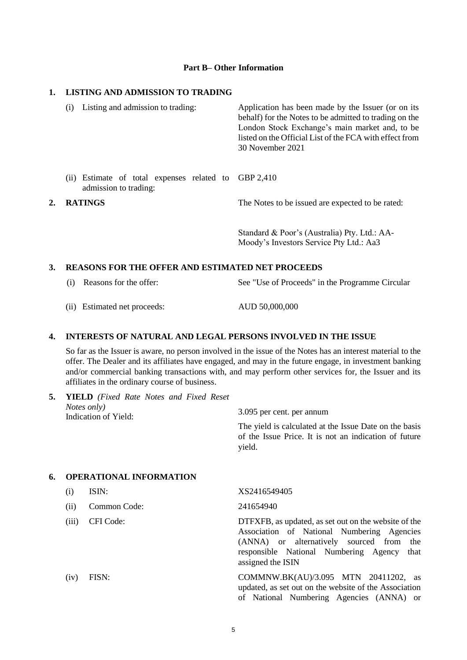#### **Part B– Other Information**

## **1. LISTING AND ADMISSION TO TRADING**

|                      | Listing and admission to trading:<br>(i)                            | Application has been made by the Issuer (or on its<br>behalf) for the Notes to be admitted to trading on the<br>London Stock Exchange's main market and, to be<br>listed on the Official List of the FCA with effect from<br>30 November 2021 |
|----------------------|---------------------------------------------------------------------|-----------------------------------------------------------------------------------------------------------------------------------------------------------------------------------------------------------------------------------------------|
|                      | (ii) Estimate of total expenses related to<br>admission to trading: | GBP 2.410                                                                                                                                                                                                                                     |
| <b>RATINGS</b><br>2. |                                                                     | The Notes to be issued are expected to be rated:                                                                                                                                                                                              |
|                      |                                                                     | Standard & Poor's (Australia) Pty. Ltd.: AA-<br>Moody's Investors Service Pty Ltd.: Aa3                                                                                                                                                       |

# **3. REASONS FOR THE OFFER AND ESTIMATED NET PROCEEDS**

- (i) Reasons for the offer: See "Use of Proceeds" in the Programme Circular
- (ii) Estimated net proceeds: AUD 50,000,000

#### **4. INTERESTS OF NATURAL AND LEGAL PERSONS INVOLVED IN THE ISSUE**

So far as the Issuer is aware, no person involved in the issue of the Notes has an interest material to the offer. The Dealer and its affiliates have engaged, and may in the future engage, in investment banking and/or commercial banking transactions with, and may perform other services for, the Issuer and its affiliates in the ordinary course of business.

| 5. |       | <b>YIELD</b> (Fixed Rate Notes and Fixed Reset<br>Notes only)<br>Indication of Yield: | 3.095 per cent. per annum<br>The yield is calculated at the Issue Date on the basis<br>of the Issue Price. It is not an indication of future<br>yield.                                                                  |
|----|-------|---------------------------------------------------------------------------------------|-------------------------------------------------------------------------------------------------------------------------------------------------------------------------------------------------------------------------|
| 6. |       | <b>OPERATIONAL INFORMATION</b>                                                        |                                                                                                                                                                                                                         |
|    | (i)   | ISIN:                                                                                 | XS2416549405                                                                                                                                                                                                            |
|    | (ii)  | Common Code:                                                                          | 241654940                                                                                                                                                                                                               |
|    | (iii) | CFI Code:                                                                             | DTFXFB, as updated, as set out on the website of the<br>Association of National Numbering Agencies<br>(ANNA) or alternatively sourced from<br>the<br>responsible National Numbering Agency<br>that<br>assigned the ISIN |
|    | (iv)  | FISN:                                                                                 | COMMNW.BK(AU)/3.095 MTN 20411202, as<br>updated, as set out on the website of the Association<br>of National Numbering Agencies (ANNA) or                                                                               |